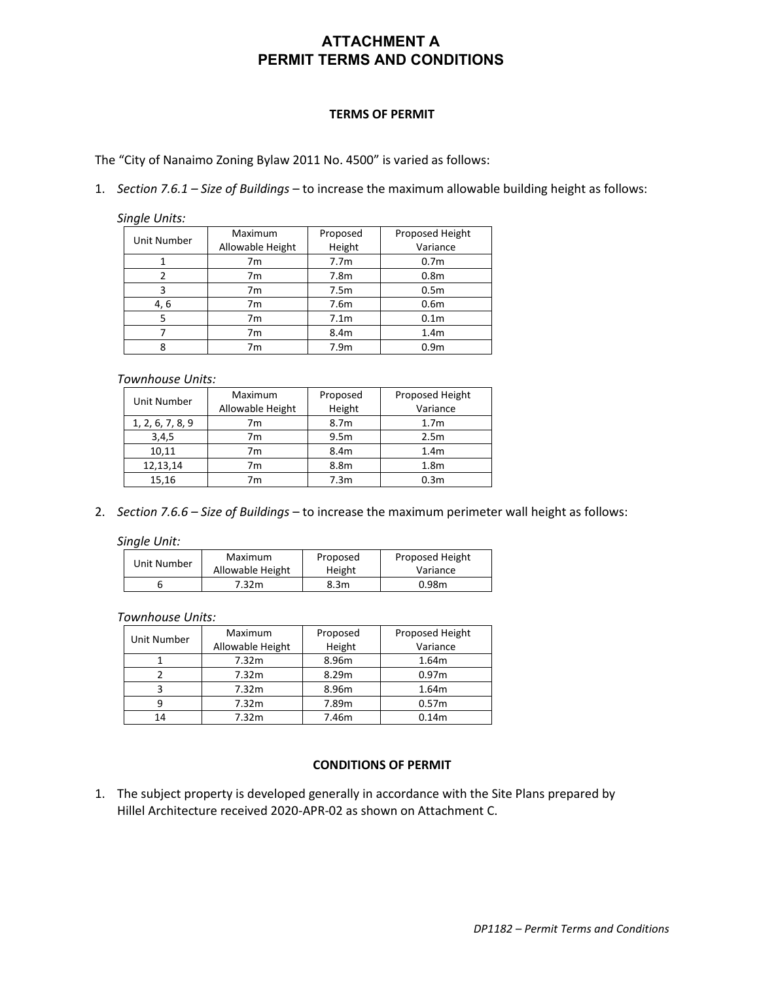## **ATTACHMENT A PERMIT TERMS AND CONDITIONS**

## **TERMS OF PERMIT**

The "City of Nanaimo Zoning Bylaw 2011 No. 4500" is varied as follows:

1. *Section 7.6.1 – Size of Buildings* – to increase the maximum allowable building height as follows:

*Single Units:*

| Unit Number | Maximum          | Proposed         | Proposed Height  |
|-------------|------------------|------------------|------------------|
|             | Allowable Height | Height           | Variance         |
|             | 7m               | 7.7 <sub>m</sub> | 0.7 <sub>m</sub> |
| 2           | 7 <sub>m</sub>   | 7.8 <sub>m</sub> | 0.8 <sub>m</sub> |
| 3           | 7 <sub>m</sub>   | 7.5m             | 0.5 <sub>m</sub> |
| 4, 6        | 7m               | 7.6m             | 0.6 <sub>m</sub> |
| 5           | 7m               | 7.1 <sub>m</sub> | 0.1 <sub>m</sub> |
|             | 7 <sub>m</sub>   | 8.4m             | 1.4 <sub>m</sub> |
|             | 7m               | 7.9 <sub>m</sub> | 0.9 <sub>m</sub> |

## *Townhouse Units:*

| Unit Number      | Maximum          | Proposed         | Proposed Height  |
|------------------|------------------|------------------|------------------|
|                  | Allowable Height | Height           | Variance         |
| 1, 2, 6, 7, 8, 9 | 7m               | 8.7m             | 1.7 <sub>m</sub> |
| 3,4,5            | 7m               | 9.5 <sub>m</sub> | 2.5m             |
| 10.11            | 7m               | 8.4m             | 1.4 <sub>m</sub> |
| 12,13,14         | 7m               | 8.8m             | 1.8 <sub>m</sub> |
| 15,16            | 7m               | 7.3 <sub>m</sub> | 0.3 <sub>m</sub> |

2. *Section 7.6.6 – Size of Buildings* – to increase the maximum perimeter wall height as follows:

*Single Unit:*

| Unit Number | Maximum          | Proposed | Proposed Height |
|-------------|------------------|----------|-----------------|
|             | Allowable Height | Height   | Variance        |
|             | 7.32m            | 8.3m     | 0.98m           |

*Townhouse Units:*

| Unit Number | Maximum          | Proposed | Proposed Height   |
|-------------|------------------|----------|-------------------|
|             | Allowable Height | Height   | Variance          |
|             | 7.32m            | 8.96m    | 1.64m             |
|             | 7.32m            | 8.29m    | 0.97 <sub>m</sub> |
|             | 7.32m            | 8.96m    | 1.64m             |
|             | 7.32m            | 7.89m    | 0.57 <sub>m</sub> |
| 14          | 7.32m            | 7.46m    | 0.14m             |

## **CONDITIONS OF PERMIT**

1. The subject property is developed generally in accordance with the Site Plans prepared by Hillel Architecture received 2020-APR-02 as shown on Attachment C.